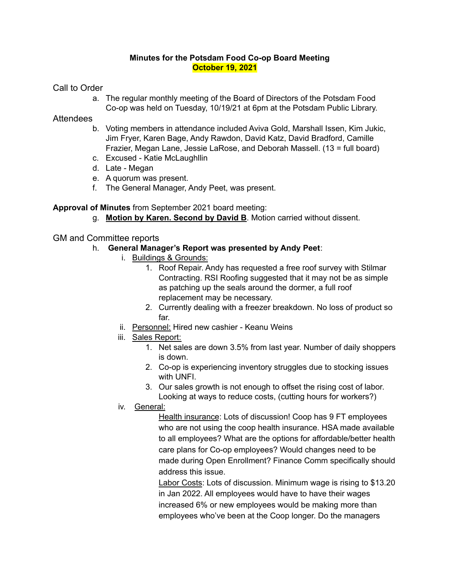### **Minutes for the Potsdam Food Co-op Board Meeting October 19, 2021**

Call to Order

a. The regular monthly meeting of the Board of Directors of the Potsdam Food Co-op was held on Tuesday, 10/19/21 at 6pm at the Potsdam Public Library.

# **Attendees**

- b. Voting members in attendance included Aviva Gold, Marshall Issen, Kim Jukic, Jim Fryer, Karen Bage, Andy Rawdon, David Katz, David Bradford, Camille Frazier, Megan Lane, Jessie LaRose, and Deborah Massell. (13 = full board)
- c. Excused Katie McLaughllin
- d. Late Megan
- e. A quorum was present.
- f. The General Manager, Andy Peet, was present.

## **Approval of Minutes** from September 2021 board meeting:

g. **Motion by Karen. Second by David B**. Motion carried without dissent.

# GM and Committee reports

## h. **General Manager's Report was presented by Andy Peet**:

- i. Buildings & Grounds:
	- 1. Roof Repair. Andy has requested a free roof survey with Stilmar Contracting. RSI Roofing suggested that it may not be as simple as patching up the seals around the dormer, a full roof replacement may be necessary.
	- 2. Currently dealing with a freezer breakdown. No loss of product so far.
- ii. Personnel: Hired new cashier Keanu Weins
- iii. Sales Report:
	- 1. Net sales are down 3.5% from last year. Number of daily shoppers is down.
	- 2. Co-op is experiencing inventory struggles due to stocking issues with UNFI.
	- 3. Our sales growth is not enough to offset the rising cost of labor. Looking at ways to reduce costs, (cutting hours for workers?)
- iv. General:

Health insurance: Lots of discussion! Coop has 9 FT employees who are not using the coop health insurance. HSA made available to all employees? What are the options for affordable/better health care plans for Co-op employees? Would changes need to be made during Open Enrollment? Finance Comm specifically should address this issue.

Labor Costs: Lots of discussion. Minimum wage is rising to \$13.20 in Jan 2022. All employees would have to have their wages increased 6% or new employees would be making more than employees who've been at the Coop longer. Do the managers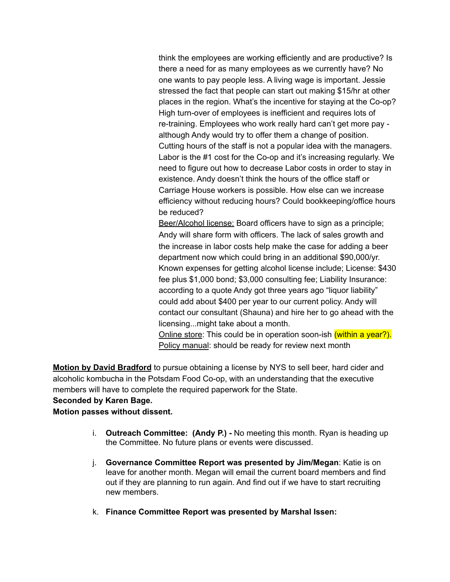think the employees are working efficiently and are productive? Is there a need for as many employees as we currently have? No one wants to pay people less. A living wage is important. Jessie stressed the fact that people can start out making \$15/hr at other places in the region. What's the incentive for staying at the Co-op? High turn-over of employees is inefficient and requires lots of re-training. Employees who work really hard can't get more pay although Andy would try to offer them a change of position. Cutting hours of the staff is not a popular idea with the managers. Labor is the #1 cost for the Co-op and it's increasing regularly. We need to figure out how to decrease Labor costs in order to stay in existence. Andy doesn't think the hours of the office staff or Carriage House workers is possible. How else can we increase efficiency without reducing hours? Could bookkeeping/office hours be reduced?

Beer/Alcohol license: Board officers have to sign as a principle; Andy will share form with officers. The lack of sales growth and the increase in labor costs help make the case for adding a beer department now which could bring in an additional \$90,000/yr. Known expenses for getting alcohol license include; License: \$430 fee plus \$1,000 bond; \$3,000 consulting fee; Liability Insurance: according to a quote Andy got three years ago "liquor liability" could add about \$400 per year to our current policy. Andy will contact our consultant (Shauna) and hire her to go ahead with the licensing...might take about a month.

Online store: This could be in operation soon-ish (within a year?). Policy manual: should be ready for review next month

**Motion by David Bradford** to pursue obtaining a license by NYS to sell beer, hard cider and alcoholic kombucha in the Potsdam Food Co-op, with an understanding that the executive members will have to complete the required paperwork for the State.

#### **Seconded by Karen Bage.**

### **Motion passes without dissent.**

- i. **Outreach Committee: (Andy P.) -** No meeting this month. Ryan is heading up the Committee. No future plans or events were discussed.
- j. **Governance Committee Report was presented by Jim/Megan**: Katie is on leave for another month. Megan will email the current board members and find out if they are planning to run again. And find out if we have to start recruiting new members.
- k. **Finance Committee Report was presented by Marshal Issen:**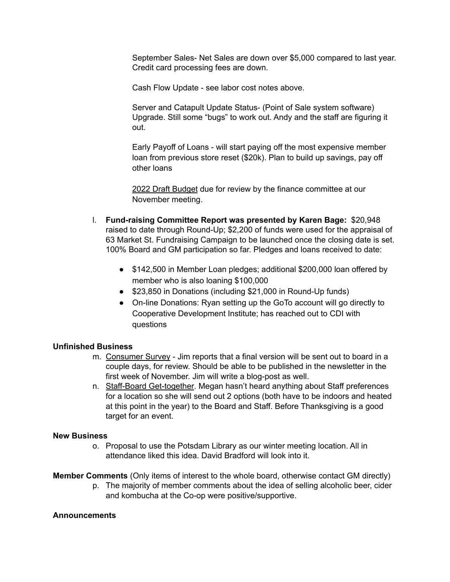September Sales- Net Sales are down over \$5,000 compared to last year. Credit card processing fees are down.

Cash Flow Update - see labor cost notes above.

Server and Catapult Update Status- (Point of Sale system software) Upgrade. Still some "bugs" to work out. Andy and the staff are figuring it out.

Early Payoff of Loans - will start paying off the most expensive member loan from previous store reset (\$20k). Plan to build up savings, pay off other loans

2022 Draft Budget due for review by the finance committee at our November meeting.

- l. **Fund-raising Committee Report was presented by Karen Bage:** \$20,948 raised to date through Round-Up; \$2,200 of funds were used for the appraisal of 63 Market St. Fundraising Campaign to be launched once the closing date is set. 100% Board and GM participation so far. Pledges and loans received to date:
	- \$142,500 in Member Loan pledges; additional \$200,000 loan offered by member who is also loaning \$100,000
	- \$23,850 in Donations (including \$21,000 in Round-Up funds)
	- On-line Donations: Ryan setting up the GoTo account will go directly to Cooperative Development Institute; has reached out to CDI with questions

### **Unfinished Business**

- m. Consumer Survey Jim reports that a final version will be sent out to board in a couple days, for review. Should be able to be published in the newsletter in the first week of November. Jim will write a blog-post as well.
- n. Staff-Board Get-together. Megan hasn't heard anything about Staff preferences for a location so she will send out 2 options (both have to be indoors and heated at this point in the year) to the Board and Staff. Before Thanksgiving is a good target for an event.

#### **New Business**

o. Proposal to use the Potsdam Library as our winter meeting location. All in attendance liked this idea. David Bradford will look into it.

**Member Comments** (Only items of interest to the whole board, otherwise contact GM directly)

p. The majority of member comments about the idea of selling alcoholic beer, cider and kombucha at the Co-op were positive/supportive.

#### **Announcements**